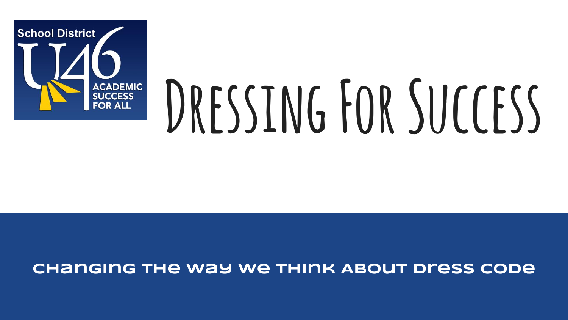

# DRESSING FOR SUCCESS

#### **Changing the way we think About dress code**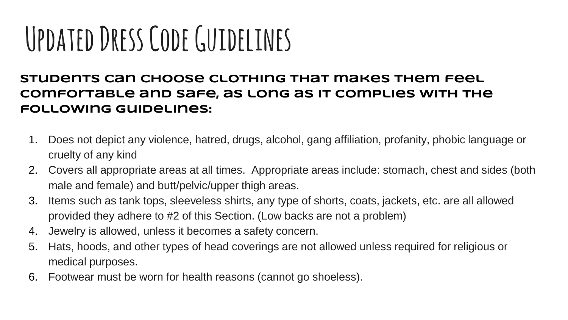### **Updated Dress Code Guidelines**

**Students can choose clothing that makes them feel comfortable and safe, as long as it complies with the following guidelines:**

- 1. Does not depict any violence, hatred, drugs, alcohol, gang affiliation, profanity, phobic language or cruelty of any kind
- 2. Covers all appropriate areas at all times. Appropriate areas include: stomach, chest and sides (both male and female) and butt/pelvic/upper thigh areas.
- 3. Items such as tank tops, sleeveless shirts, any type of shorts, coats, jackets, etc. are all allowed provided they adhere to #2 of this Section. (Low backs are not a problem)
- 4. Jewelry is allowed, unless it becomes a safety concern.
- 5. Hats, hoods, and other types of head coverings are not allowed unless required for religious or medical purposes.
- 6. Footwear must be worn for health reasons (cannot go shoeless).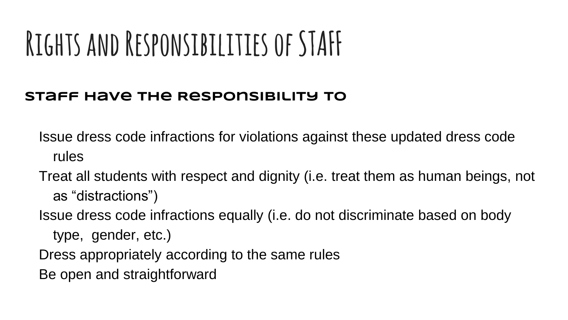### **Rights and Responsibilities of STAFF**

#### **Staff Have The Responsibility To**

Issue dress code infractions for violations against these updated dress code rules

- Treat all students with respect and dignity (i.e. treat them as human beings, not as "distractions")
- Issue dress code infractions equally (i.e. do not discriminate based on body
	- type, gender, etc.)
- Dress appropriately according to the same rules
- Be open and straightforward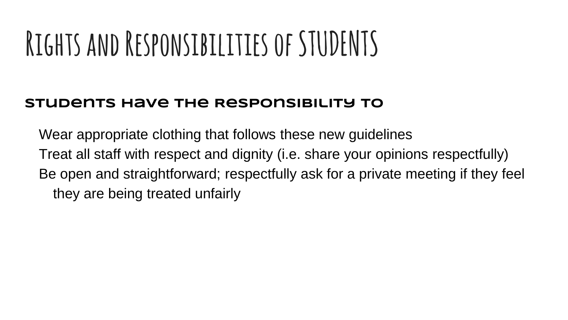### **Rights and Responsibilities of STUDENTS**

#### **Students Have The Responsibility To**

Wear appropriate clothing that follows these new guidelines Treat all staff with respect and dignity (i.e. share your opinions respectfully) Be open and straightforward; respectfully ask for a private meeting if they feel they are being treated unfairly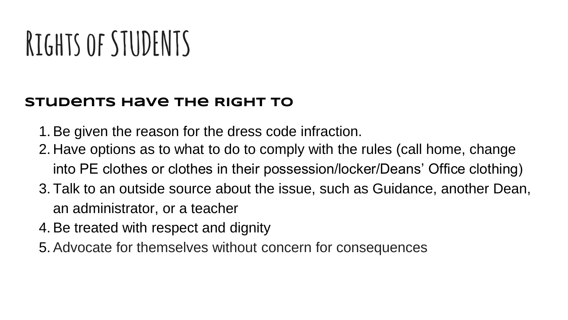### **Rights of STUDENTS**

#### **Students Have The Right To**

- 1. Be given the reason for the dress code infraction.
- 2. Have options as to what to do to comply with the rules (call home, change into PE clothes or clothes in their possession/locker/Deans' Office clothing)
- 3. Talk to an outside source about the issue, such as Guidance, another Dean, an administrator, or a teacher
- 4. Be treated with respect and dignity
- 5. Advocate for themselves without concern for consequences